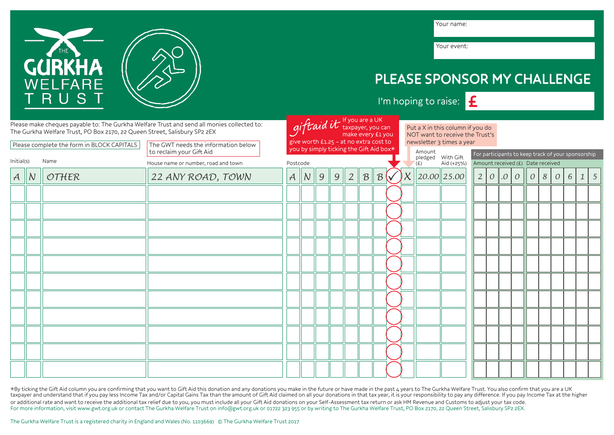

\*By ticking the Gift Aid column you are confirming that you want to Gift Aid this donation and any donations you make in the future or have made in the past 4 years to The Gurkha Welfare Trust. You also confirm that you ar For more information, visit www.gwt.org.uk or contact The Gurkha Welfare Trust on info@gwt.org.uk or 01722 323 955 or by writing to The Gurkha Welfare Trust, PO Box 2170, 22 Queen Street, Salisbury SP2 2EX.